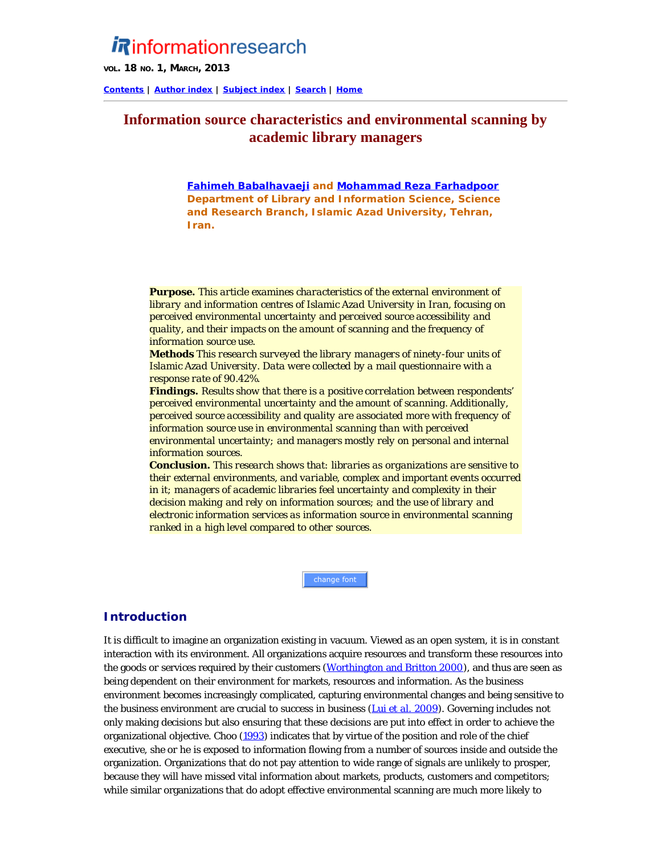# **Rinformationresearch**

**VOL. 18 NO. 1, MARCH, 2013**

**[Contents](http://informationr.net/ir/18-1/infres181.html) | [Author index](http://informationr.net/ir/iraindex.html) | [Subject index](http://informationr.net/ir/irsindex.html) | [Search](http://informationr.net/ir/search.html) | [Home](http://informationr.net/ir/index.html)**

## **Information source characteristics and environmental scanning by academic library managers**

*[Fahimeh Babalhavaeji](#page-9-0) and [Mohammad Reza Farhadpoor](#page-9-0) Department of Library and Information Science, Science and Research Branch, Islamic Azad University, Tehran, Iran.*

*Purpose. This article examines characteristics of the external environment of library and information centres of Islamic Azad University in Iran, focusing on perceived environmental uncertainty and perceived source accessibility and quality, and their impacts on the amount of scanning and the frequency of information source use.* 

*Methods This research surveyed the library managers of ninety-four units of Islamic Azad University. Data were collected by a mail questionnaire with a response rate of 90.42%.* 

*Findings. Results show that there is a positive correlation between respondents' perceived environmental uncertainty and the amount of scanning. Additionally, perceived source accessibility and quality are associated more with frequency of information source use in environmental scanning than with perceived environmental uncertainty; and managers mostly rely on personal and internal information sources.*

*Conclusion. This research shows that: libraries as organizations are sensitive to their external environments, and variable, complex and important events occurred in it; managers of academic libraries feel uncertainty and complexity in their decision making and rely on information sources; and the use of library and electronic information services as information source in environmental scanning ranked in a high level compared to other sources.*

change font

## **Introduction**

It is difficult to imagine an organization existing in vacuum. Viewed as an open system, it is in constant interaction with its environment. All organizations acquire resources and transform these resources into the goods or services required by their customers [\(Worthington and Britton 2000](#page-11-0)), and thus are seen as being dependent on their environment for markets, resources and information. As the business environment becomes increasingly complicated, capturing environmental changes and being sensitive to the business environment are crucial to success in business [\(Lui](#page-11-1) *[et al.](#page-11-1)* [2009\)](#page-11-1). Governing includes not only making decisions but also ensuring that these decisions are put into effect in order to achieve the organizational objective. Choo [\(1993](#page-11-1)) indicates that by virtue of the position and role of the chief executive, she or he is exposed to information flowing from a number of sources inside and outside the organization. Organizations that do not pay attention to wide range of signals are unlikely to prosper, because they will have missed vital information about markets, products, customers and competitors; while similar organizations that do adopt effective environmental scanning are much more likely to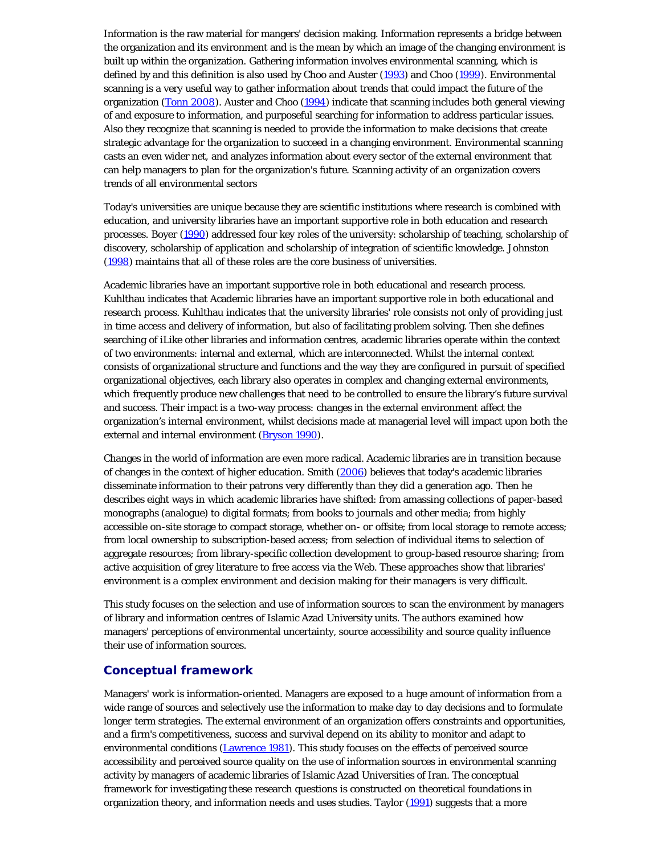Information is the raw material for mangers' decision making. Information represents a bridge between the organization and its environment and is the mean by which an image of the changing environment is built up within the organization. Gathering information involves environmental scanning, which is defined by and this definition is also used by Choo and Auster [\(1993](#page-11-1)) and Choo [\(1999](#page-11-1)). Environmental scanning is a very useful way to gather information about trends that could impact the future of the organization ([Tonn 2008](#page-11-2)). Auster and Choo ([1994\)](#page-11-1) indicate that scanning includes both general viewing of and exposure to information, and purposeful searching for information to address particular issues. Also they recognize that scanning is needed to provide the information to make decisions that create strategic advantage for the organization to succeed in a changing environment. Environmental scanning casts an even wider net, and analyzes information about every sector of the external environment that can help managers to plan for the organization's future. Scanning activity of an organization covers trends of all environmental sectors

Today's universities are unique because they are scientific institutions where research is combined with education, and university libraries have an important supportive role in both education and research processes. Boyer ([1990](#page-11-1)) addressed four key roles of the university: scholarship of teaching, scholarship of discovery, scholarship of application and scholarship of integration of scientific knowledge. Johnston [\(1998](#page-11-1)) maintains that all of these roles are the core business of universities.

Academic libraries have an important supportive role in both educational and research process. Kuhlthau indicates that Academic libraries have an important supportive role in both educational and research process. Kuhlthau indicates that the university libraries' role consists not only of providing just in time access and delivery of information, but also of facilitating problem solving. Then she defines searching of iLike other libraries and information centres, academic libraries operate within the context of two environments: internal and external, which are interconnected. Whilst the internal context consists of organizational structure and functions and the way they are configured in pursuit of specified organizational objectives, each library also operates in complex and changing external environments, which frequently produce new challenges that need to be controlled to ensure the library's future survival and success. Their impact is a two-way process: changes in the external environment affect the organization's internal environment, whilst decisions made at managerial level will impact upon both the external and internal environment (**Bryson 1990**).

Changes in the world of information are even more radical. Academic libraries are in transition because of changes in the context of higher education. Smith [\(2006\)](#page-11-3) believes that today's academic libraries disseminate information to their patrons very differently than they did a generation ago. Then he describes eight ways in which academic libraries have shifted: from amassing collections of paper-based monographs (analogue) to digital formats; from books to journals and other media; from highly accessible on-site storage to compact storage, whether on- or offsite; from local storage to remote access; from local ownership to subscription-based access; from selection of individual items to selection of aggregate resources; from library-specific collection development to group-based resource sharing; from active acquisition of grey literature to free access via the Web. These approaches show that libraries' environment is a complex environment and decision making for their managers is very difficult.

This study focuses on the selection and use of information sources to scan the environment by managers of library and information centres of Islamic Azad University units. The authors examined how managers' perceptions of environmental uncertainty, source accessibility and source quality influence their use of information sources.

## **Conceptual framework**

Managers' work is information-oriented. Managers are exposed to a huge amount of information from a wide range of sources and selectively use the information to make day to day decisions and to formulate longer term strategies. The external environment of an organization offers constraints and opportunities, and a firm's competitiveness, success and survival depend on its ability to monitor and adapt to environmental conditions ([Lawrence 1981\)](#page-11-1). This study focuses on the effects of perceived source accessibility and perceived source quality on the use of information sources in environmental scanning activity by managers of academic libraries of Islamic Azad Universities of Iran. The conceptual framework for investigating these research questions is constructed on theoretical foundations in organization theory, and information needs and uses studies. Taylor [\(1991](#page-11-4)) suggests that a more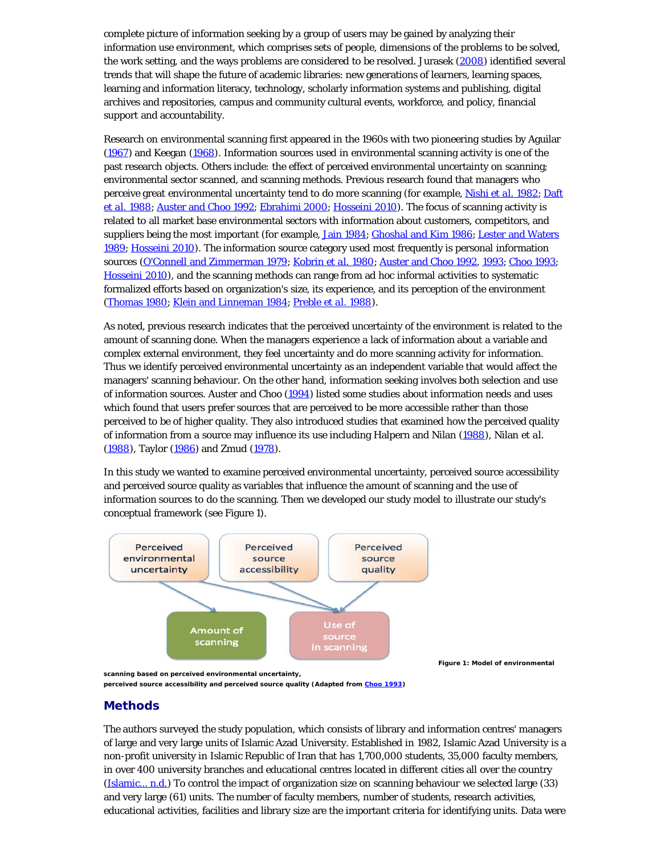complete picture of information seeking by a group of users may be gained by analyzing their information use environment, which comprises sets of people, dimensions of the problems to be solved, the work setting, and the ways problems are considered to be resolved. Jurasek ([2008](#page-11-1)) identified several trends that will shape the future of academic libraries: new generations of learners, learning spaces, learning and information literacy, technology, scholarly information systems and publishing, digital archives and repositories, campus and community cultural events, workforce, and policy, financial support and accountability.

Research on environmental scanning first appeared in the 1960s with two pioneering studies by Aguilar [\(1967](#page-11-1)) and Keegan ([1968\)](#page-11-1). Information sources used in environmental scanning activity is one of the past research objects. Others include: the effect of perceived environmental uncertainty on scanning; environmental sector scanned, and scanning methods. Previous research found that managers who perceive great environmental uncertainty tend to do more scanning (for example, [Nishi](#page-11-1) *[et al.](#page-11-1)* [1982](#page-11-1); [Daft](#page-11-1) *[et al.](#page-11-1)* [1988](#page-11-1); [Auster and Choo 1992](#page-11-1); [Ebrahimi 2000;](#page-11-1) [Hosseini 2010\)](#page-11-1). The focus of scanning activity is related to all market base environmental sectors with information about customers, competitors, and suppliers being the most important (for example, [Jain 1984](#page-11-1); [Ghoshal and Kim 1986](#page-11-1); [Lester and Waters](#page-11-1) [1989](#page-11-1); [Hosseini 2010](#page-11-1)). The information source category used most frequently is personal information sources ([O'Connell and Zimmerman 1979; Kobrin](#page-11-1) *[et al.](#page-11-1)* [1980;](#page-11-1) [Auster and Choo 1992,](#page-11-1) [1993](#page-11-1); [Choo 1993;](#page-11-1) [Hosseini 2010](#page-11-1)), and the scanning methods can range from ad hoc informal activities to systematic formalized efforts based on organization's size, its experience, and its perception of the environment [\(Thomas 1980](#page-11-5); [Klein and Linneman 1984](#page-11-1); [Preble](#page-11-1) *[et al.](#page-11-1)* [1988](#page-11-1)).

As noted, previous research indicates that the perceived uncertainty of the environment is related to the amount of scanning done. When the managers experience a lack of information about a variable and complex external environment, they feel uncertainty and do more scanning activity for information. Thus we identify perceived environmental uncertainty as an independent variable that would affect the managers' scanning behaviour. On the other hand, information seeking involves both selection and use of information sources. Auster and Choo ([1994\)](#page-11-1) listed some studies about information needs and uses which found that users prefer sources that are perceived to be more accessible rather than those perceived to be of higher quality. They also introduced studies that examined how the perceived quality of information from a source may influence its use including Halpern and Nilan ([1988\)](#page-11-1), Nilan *et al.* [\(1988](#page-11-1)), Taylor ([1986\)](#page-11-6) and Zmud ([1978](#page-11-7)).

In this study we wanted to examine perceived environmental uncertainty, perceived source accessibility and perceived source quality as variables that influence the amount of scanning and the use of information sources to do the scanning. Then we developed our study model to illustrate our study's conceptual framework (see Figure 1).



**Figure 1: Model of environmental**

**scanning based on perceived environmental uncertainty,**

**perceived source accessibility and perceived source quality (Adapted from [Choo 1993\)](#page-11-1)**

## **Methods**

The authors surveyed the study population, which consists of library and information centres' managers of large and very large units of Islamic Azad University. Established in 1982, Islamic Azad University is a non-profit university in Islamic Republic of Iran that has 1,700,000 students, 35,000 faculty members, in over 400 university branches and educational centres located in different cities all over the country [\(Islamic... n.d.](#page-11-1)) To control the impact of organization size on scanning behaviour we selected large (33) and very large (61) units. The number of faculty members, number of students, research activities, educational activities, facilities and library size are the important criteria for identifying units. Data were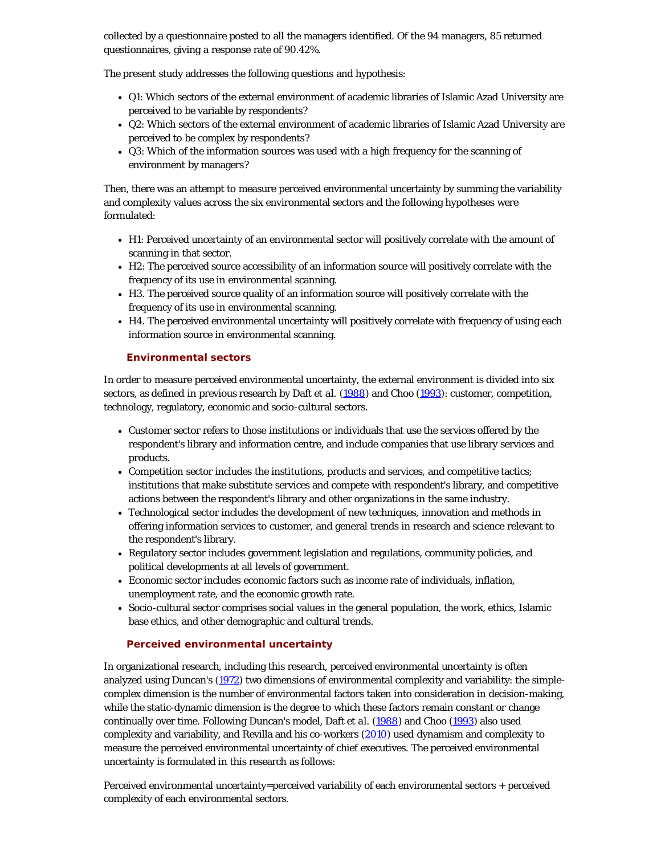collected by a questionnaire posted to all the managers identified. Of the 94 managers, 85 returned questionnaires, giving a response rate of 90.42%.

The present study addresses the following questions and hypothesis:

- Q1: Which sectors of the external environment of academic libraries of Islamic Azad University are perceived to be variable by respondents?
- Q2: Which sectors of the external environment of academic libraries of Islamic Azad University are perceived to be complex by respondents?
- Q3: Which of the information sources was used with a high frequency for the scanning of environment by managers?

Then, there was an attempt to measure perceived environmental uncertainty by summing the variability and complexity values across the six environmental sectors and the following hypotheses were formulated:

- H1: Perceived uncertainty of an environmental sector will positively correlate with the amount of scanning in that sector.
- H2: The perceived source accessibility of an information source will positively correlate with the frequency of its use in environmental scanning.
- H3. The perceived source quality of an information source will positively correlate with the frequency of its use in environmental scanning.
- H4. The perceived environmental uncertainty will positively correlate with frequency of using each information source in environmental scanning.

## **Environmental sectors**

In order to measure perceived environmental uncertainty, the external environment is divided into six sectors, as defined in previous research by Daft *et al.* ([1988\)](#page-11-1) and Choo [\(1993](#page-11-1)): customer, competition, technology, regulatory, economic and socio-cultural sectors.

- Customer sector refers to those institutions or individuals that use the services offered by the respondent's library and information centre, and include companies that use library services and products.
- Competition sector includes the institutions, products and services, and competitive tactics; institutions that make substitute services and compete with respondent's library, and competitive actions between the respondent's library and other organizations in the same industry.
- Technological sector includes the development of new techniques, innovation and methods in offering information services to customer, and general trends in research and science relevant to the respondent's library.
- Regulatory sector includes government legislation and regulations, community policies, and political developments at all levels of government.
- Economic sector includes economic factors such as income rate of individuals, inflation, unemployment rate, and the economic growth rate.
- Socio-cultural sector comprises social values in the general population, the work, ethics, Islamic base ethics, and other demographic and cultural trends.

## **Perceived environmental uncertainty**

In organizational research, including this research, perceived environmental uncertainty is often analyzed using Duncan's ([1972\)](#page-11-1) two dimensions of environmental complexity and variability: the simplecomplex dimension is the number of environmental factors taken into consideration in decision-making, while the static-dynamic dimension is the degree to which these factors remain constant or change continually over time. Following Duncan's model, Daft *et al.* [\(1988\)](#page-11-1) and Choo [\(1993](#page-11-1)) also used complexity and variability, and Revilla and his co-workers ([2010\)](#page-11-1) used dynamism and complexity to measure the perceived environmental uncertainty of chief executives. The perceived environmental uncertainty is formulated in this research as follows:

Perceived environmental uncertainty=perceived variability of each environmental sectors + perceived complexity of each environmental sectors.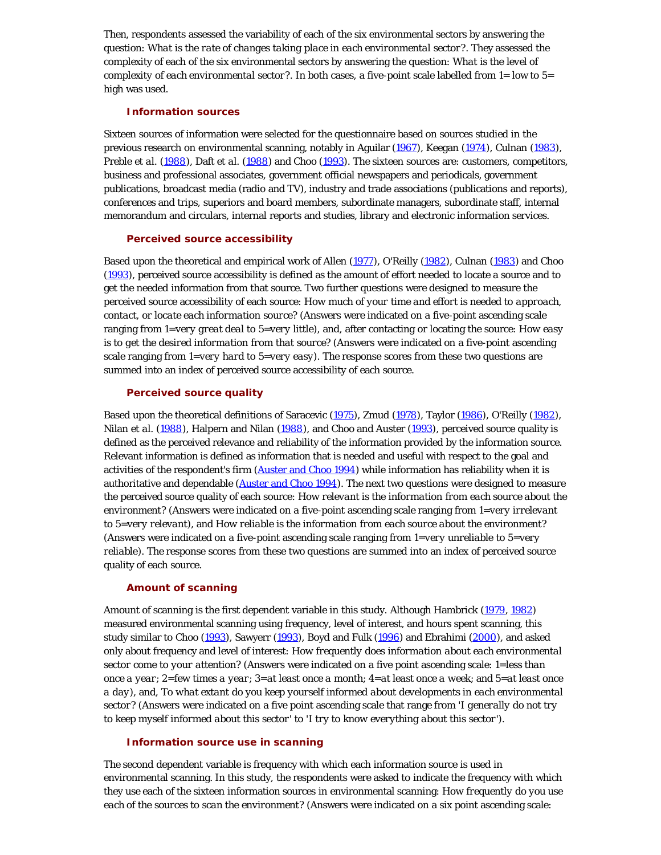Then, respondents assessed the variability of each of the six environmental sectors by answering the question: *What is the rate of changes taking place in each environmental sector?*. They assessed the complexity of each of the six environmental sectors by answering the question: *What is the level of complexity of each environmental sector?*. In both cases, a five-point scale labelled from 1= low to 5= high was used.

#### **Information sources**

Sixteen sources of information were selected for the questionnaire based on sources studied in the previous research on environmental scanning, notably in Aguilar ([1967](#page-11-1)), Keegan ([1974](#page-11-1)), Culnan ([1983\)](#page-11-1), Preble *et al.* ([1988\)](#page-11-1), Daft *et al.* ([1988\)](#page-11-1) and Choo ([1993](#page-11-1)). The sixteen sources are: customers, competitors, business and professional associates, government official newspapers and periodicals, government publications, broadcast media (radio and TV), industry and trade associations (publications and reports), conferences and trips, superiors and board members, subordinate managers, subordinate staff, internal memorandum and circulars, internal reports and studies, library and electronic information services.

#### **Perceived source accessibility**

Based upon the theoretical and empirical work of Allen [\(1977](#page-11-1)), O'Reilly [\(1982](#page-11-1)), Culnan [\(1983](#page-11-1)) and Choo [\(1993](#page-11-1)), perceived source accessibility is defined as the amount of effort needed to locate a source and to get the needed information from that source. Two further questions were designed to measure the perceived source accessibility of each source: *How much of your time and effort is needed to approach, contact, or locate each information source?* (Answers were indicated on a five-point ascending scale ranging from 1=*very great deal* to 5=*very little*), and, after contacting or locating the source: *How easy is to get the desired information from that source?* (Answers were indicated on a five-point ascending scale ranging from 1=*very hard* to 5=*very easy*). The response scores from these two questions are summed into an index of perceived source accessibility of each source.

#### **Perceived source quality**

Based upon the theoretical definitions of Saracevic ([1975\)](#page-11-1), Zmud ([1978](#page-11-7)), Taylor ([1986\)](#page-11-6), O'Reilly ([1982](#page-11-1)), Nilan *et al.* [\(1988\)](#page-11-1), Halpern and Nilan ([1988\)](#page-11-1), and Choo and Auster ([1993](#page-11-1)), perceived source quality is defined as the perceived relevance and reliability of the information provided by the information source. Relevant information is defined as information that is needed and useful with respect to the goal and activities of the respondent's firm ([Auster and Choo 1994\)](#page-11-1) while information has reliability when it is authoritative and dependable ([Auster and Choo 1994\)](#page-11-1). The next two questions were designed to measure the perceived source quality of each source: *How relevant is the information from each source about the environment?* (Answers were indicated on a five-point ascending scale ranging from 1=*very irrelevant* to 5=*very relevant*), and *How reliable is the information from each source about the environment?* (Answers were indicated on a five-point ascending scale ranging from 1=*very unreliable* to 5=*very reliable*). The response scores from these two questions are summed into an index of perceived source quality of each source.

## **Amount of scanning**

Amount of scanning is the first dependent variable in this study. Although Hambrick ([1979](#page-11-1), [1982](#page-11-1)) measured environmental scanning using frequency, level of interest, and hours spent scanning, this study similar to Choo [\(1993](#page-11-1)), Sawyerr ([1993](#page-11-1)), Boyd and Fulk [\(1996](#page-11-1)) and Ebrahimi ([2000](#page-11-1)), and asked only about frequency and level of interest: *How frequently does information about each environmental sector come to your attention?* (Answers were indicated on a five point ascending scale: 1=*less than once a year*; 2=*few times a year*; 3=*at least once a month*; 4=*at least once a week*; and 5=*at least once a day*), and, *To what extant do you keep yourself informed about developments in each environmental sector?* (Answers were indicated on a five point ascending scale that range from '*I generally do not try to keep myself informed about this sector*' to '*I try to know everything about this sector*').

## **Information source use in scanning**

The second dependent variable is frequency with which each information source is used in environmental scanning. In this study, the respondents were asked to indicate the frequency with which they use each of the sixteen information sources in environmental scanning: *How frequently do you use each of the sources to scan the environment?* (Answers were indicated on a six point ascending scale: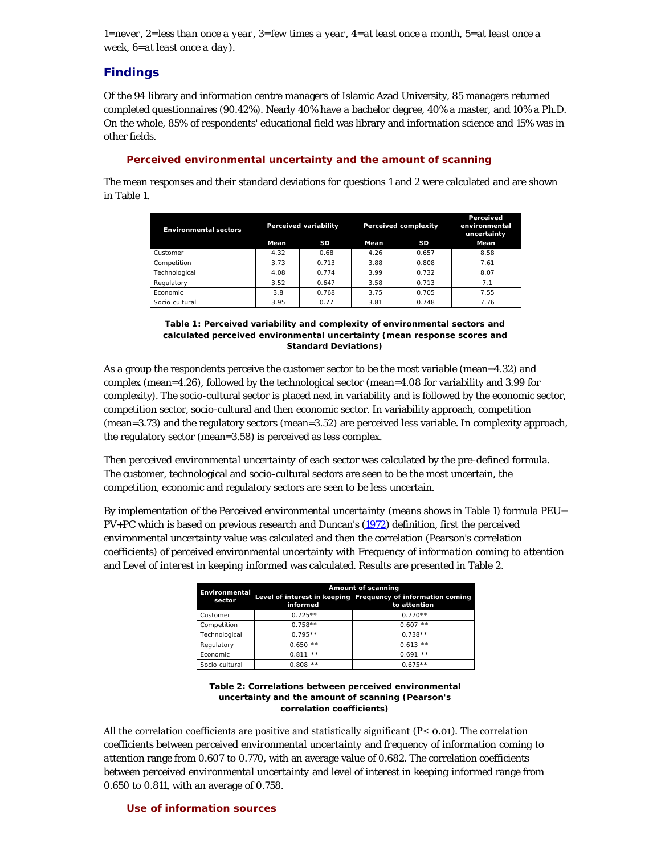1=*never*, 2=*less than once a year*, 3=*few times a year*, 4=*at least once a month*, 5=*at least once a week*, 6=*at least once a day*).

## **Findings**

Of the 94 library and information centre managers of Islamic Azad University, 85 managers returned completed questionnaires (90.42%). Nearly 40% have a bachelor degree, 40% a master, and 10% a Ph.D. On the whole, 85% of respondents' educational field was library and information science and 15% was in other fields.

## **Perceived environmental uncertainty and the amount of scanning**

The mean responses and their standard deviations for questions 1 and 2 were calculated and are shown in Table 1.

| <b>Environmental sectors</b> | Perceived variability |           | <b>Perceived complexity</b> |       | Perceived<br>environmental<br>uncertainty |
|------------------------------|-----------------------|-----------|-----------------------------|-------|-------------------------------------------|
|                              | Mean                  | <b>SD</b> | Mean                        | SD    | Mean                                      |
| Customer                     | 4.32                  | 0.68      | 4.26                        | 0.657 | 8.58                                      |
| Competition                  | 3.73                  | 0.713     | 3.88                        | 0.808 | 7.61                                      |
| Technological                | 4.08                  | 0.774     | 3.99                        | 0.732 | 8.07                                      |
| Regulatory                   | 3.52                  | 0.647     | 3.58                        | 0.713 | 7.1                                       |
| Economic                     | 3.8                   | 0.768     | 3.75                        | 0.705 | 7.55                                      |
| Socio cultural               | 3.95                  | 0.77      | 3.81                        | 0.748 | 7.76                                      |

**Table 1: Perceived variability and complexity of environmental sectors and calculated perceived environmental uncertainty (mean response scores and Standard Deviations)**

As a group the respondents perceive the customer sector to be the most variable (mean=4.32) and complex (mean=4.26), followed by the technological sector (mean=4.08 for variability and 3.99 for complexity). The socio-cultural sector is placed next in variability and is followed by the economic sector, competition sector, socio-cultural and then economic sector. In variability approach, competition (mean=3.73) and the regulatory sectors (mean=3.52) are perceived less variable. In complexity approach, the regulatory sector (mean=3.58) is perceived as less complex.

Then *perceived environmental uncertainty* of each sector was calculated by the pre-defined formula. The customer, technological and socio-cultural sectors are seen to be the most uncertain, the competition, economic and regulatory sectors are seen to be less uncertain.

By implementation of the *Perceived environmental uncertainty* (means shows in Table 1) formula PEU= PV+PC which is based on previous research and Duncan's ([1972\)](#page-11-1) definition, first the perceived environmental uncertainty value was calculated and then the correlation (Pearson's correlation coefficients) of perceived environmental uncertainty with *Frequency of information coming to attention* and *Level of interest in keeping informed* was calculated. Results are presented in Table 2.

| Environmental<br>sector | informed       | Amount of scanning<br>Level of interest in keeping Frequency of information coming<br>to attention |
|-------------------------|----------------|----------------------------------------------------------------------------------------------------|
| Customer                | $0.725**$      | $0.770**$                                                                                          |
| Competition             | $0.758**$      | $0.607$ **                                                                                         |
| Technological           | $0.795**$      | $0.738**$                                                                                          |
| Regulatory              | $0.650**$      | $0.613$ **                                                                                         |
| Fconomic                | $* *$<br>0.811 | $* *$<br>0.691                                                                                     |
| Socio cultural          | **<br>0.808    | $0.675**$                                                                                          |

#### **Table 2: Correlations between perceived environmental uncertainty and the amount of scanning (Pearson's correlation coefficients)**

All the correlation coefficients are positive and statistically significant (P≤ 0.01). The correlation coefficients between *perceived environmental uncertainty* and *frequency of information coming to attention* range from 0.607 to 0.770, with an average value of 0.682. The correlation coefficients between *perceived environmental uncertainty* and *level of interest in keeping informed* range from 0.650 to 0.811, with an average of 0.758.

## **Use of information sources**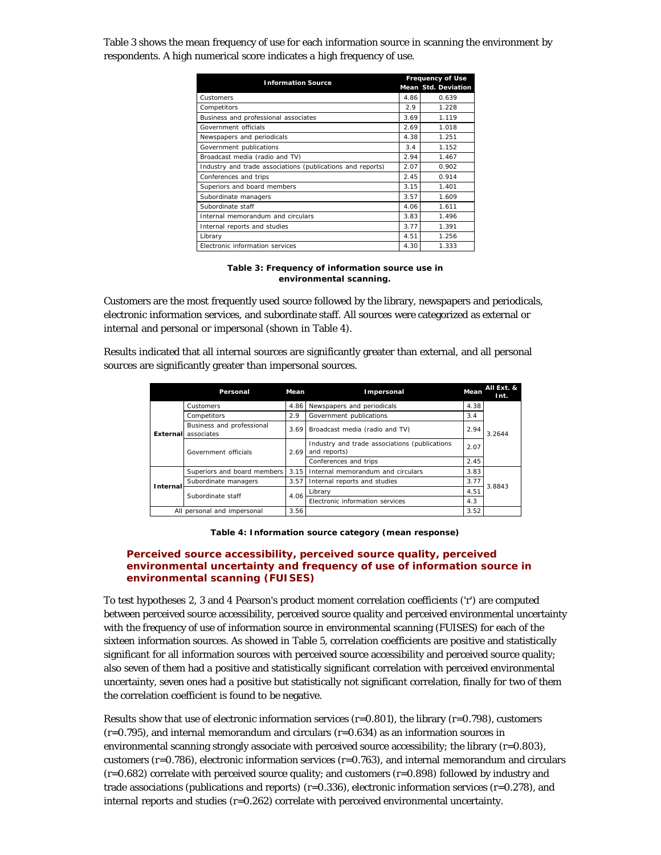Table 3 shows the mean frequency of use for each information source in scanning the environment by respondents. A high numerical score indicates a high frequency of use.

| <b>Information Source</b>                                  | <b>Frequency of Use</b> |                            |  |
|------------------------------------------------------------|-------------------------|----------------------------|--|
|                                                            |                         | <b>Mean Std. Deviation</b> |  |
| Customers                                                  | 4.86                    | 0.639                      |  |
| Competitors                                                | 2.9                     | 1.228                      |  |
| Business and professional associates                       | 3.69                    | 1.119                      |  |
| Government officials                                       | 2.69                    | 1.018                      |  |
| Newspapers and periodicals                                 | 4.38                    | 1.251                      |  |
| Government publications                                    | 3.4                     | 1.152                      |  |
| Broadcast media (radio and TV)                             | 2.94                    | 1.467                      |  |
| Industry and trade associations (publications and reports) | 2.07                    | 0.902                      |  |
| Conferences and trips                                      | 2.45                    | 0.914                      |  |
| Superiors and board members                                | 3.15                    | 1.401                      |  |
| Subordinate managers                                       | 3.57                    | 1.609                      |  |
| Subordinate staff                                          | 4.06                    | 1.611                      |  |
| Internal memorandum and circulars                          | 3.83                    | 1.496                      |  |
| Internal reports and studies                               | 3.77                    | 1.391                      |  |
| Library                                                    | 4.51                    | 1.256                      |  |
| Electronic information services                            | 4.30                    | 1.333                      |  |

#### **Table 3: Frequency of information source use in environmental scanning.**

Customers are the most frequently used source followed by the library, newspapers and periodicals, electronic information services, and subordinate staff. All sources were categorized as external or internal and personal or impersonal (shown in Table 4).

Results indicated that all internal sources are significantly greater than external, and all personal sources are significantly greater than impersonal sources.

|          | Personal                                | Mean                            | Impersonal                                                    | Mean | All Ext. &<br>Int. |  |
|----------|-----------------------------------------|---------------------------------|---------------------------------------------------------------|------|--------------------|--|
|          | Customers                               | 4.86                            | Newspapers and periodicals                                    | 4.38 |                    |  |
|          | Competitors                             | 2.9                             | Government publications                                       | 3.4  |                    |  |
| External | Business and professional<br>associates |                                 | Broadcast media (radio and TV)<br>3.69                        | 2.94 | 3.2644             |  |
|          | Government officials                    | 2.69                            | Industry and trade associations (publications<br>and reports) | 2.07 |                    |  |
|          |                                         |                                 | Conferences and trips                                         | 2.45 |                    |  |
|          | Superiors and board members             | 3.15                            | Internal memorandum and circulars                             | 3.83 |                    |  |
| Internal | Subordinate managers                    | 3.57                            | Internal reports and studies                                  | 3.77 | 3.8843             |  |
|          | Subordinate staff                       | 4.06                            | Library                                                       | 4.51 |                    |  |
|          |                                         | Electronic information services | 4.3                                                           |      |                    |  |
|          | All personal and impersonal             | 3.56                            |                                                               | 3.52 |                    |  |

**Table 4: Information source category (mean response)**

## **Perceived source accessibility, perceived source quality, perceived environmental uncertainty and frequency of use of information source in environmental scanning (FUISES)**

To test hypotheses 2, 3 and 4 Pearson's product moment correlation coefficients ('r') are computed between perceived source accessibility, perceived source quality and perceived environmental uncertainty with the frequency of use of information source in environmental scanning (FUISES) for each of the sixteen information sources. As showed in Table 5, correlation coefficients are positive and statistically significant for all information sources with perceived source accessibility and perceived source quality; also seven of them had a positive and statistically significant correlation with perceived environmental uncertainty, seven ones had a positive but statistically not significant correlation, finally for two of them the correlation coefficient is found to be negative.

Results show that use of electronic information services  $(r=0.801)$ , the library  $(r=0.798)$ , customers  $(r=0.795)$ , and internal memorandum and circulars  $(r=0.634)$  as an information sources in environmental scanning strongly associate with perceived source accessibility; the library  $(r=0.803)$ , customers ( $r=0.786$ ), electronic information services ( $r=0.763$ ), and internal memorandum and circulars  $(r=0.682)$  correlate with perceived source quality; and customers  $(r=0.898)$  followed by industry and trade associations (publications and reports)  $(r=0.336)$ , electronic information services  $(r=0.278)$ , and internal reports and studies (r=0.262) correlate with perceived environmental uncertainty.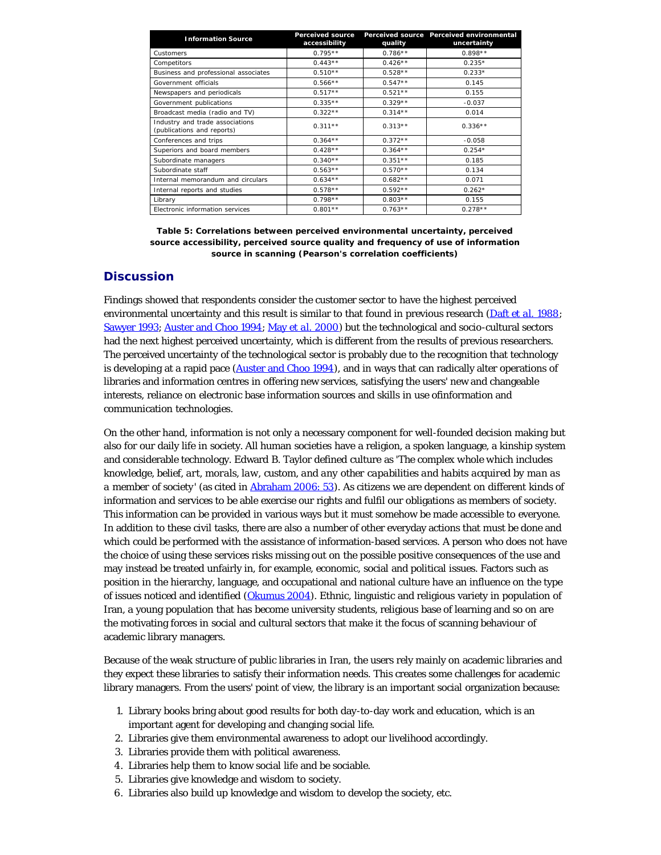| <b>Information Source</b>                                     | <b>Perceived source</b><br>accessibility | quality   | Perceived source Perceived environmental<br>uncertainty |
|---------------------------------------------------------------|------------------------------------------|-----------|---------------------------------------------------------|
| Customers                                                     | $0.795**$                                | $0.786**$ | $0.898**$                                               |
| Competitors                                                   | $0.443**$                                | $0.426**$ | $0.235*$                                                |
| Business and professional associates                          | $0.510**$                                | $0.528**$ | $0.233*$                                                |
| Government officials                                          | $0.566**$                                | $0.547**$ | 0.145                                                   |
| Newspapers and periodicals                                    | $0.517**$                                | $0.521**$ | 0.155                                                   |
| Government publications                                       | $0.335**$                                | $0.329**$ | $-0.037$                                                |
| Broadcast media (radio and TV)                                | $0.322**$                                | $0.314**$ | 0.014                                                   |
| Industry and trade associations<br>(publications and reports) | $0.311**$                                | $0.313**$ | $0.336**$                                               |
| Conferences and trips                                         | $0.364**$                                | $0.372**$ | $-0.058$                                                |
| Superiors and board members                                   | $0.428**$                                | $0.364**$ | $0.254*$                                                |
| Subordinate managers                                          | $0.340**$                                | $0.351**$ | 0.185                                                   |
| Subordinate staff                                             | $0.563**$                                | $0.570**$ | 0.134                                                   |
| Internal memorandum and circulars                             | $0.634**$                                | $0.682**$ | 0.071                                                   |
| Internal reports and studies                                  | $0.578**$                                | $0.592**$ | $0.262*$                                                |
| Library                                                       | $0.798**$                                | $0.803**$ | 0.155                                                   |
| Electronic information services                               | $0.801**$                                | $0.763**$ | $0.278**$                                               |

**Table 5: Correlations between perceived environmental uncertainty, perceived source accessibility, perceived source quality and frequency of use of information source in scanning (Pearson's correlation coefficients)**

## **Discussion**

Findings showed that respondents consider the customer sector to have the highest perceived environmental uncertainty and this result is similar to that found in previous research ([Daft](#page-11-1) *[et al.](#page-11-1)* [1988](#page-11-1); [Sawyer 1993](#page-11-1); [Auster and Choo 1994;](#page-11-1) [May](#page-11-1) *[et al.](#page-11-1)* [2000\)](#page-11-1) but the technological and socio-cultural sectors had the next highest perceived uncertainty, which is different from the results of previous researchers. The perceived uncertainty of the technological sector is probably due to the recognition that technology is developing at a rapid pace ([Auster and Choo 1994\)](#page-11-1), and in ways that can radically alter operations of libraries and information centres in offering new services, satisfying the users' new and changeable interests, reliance on electronic base information sources and skills in use ofinformation and communication technologies.

On the other hand, information is not only a necessary component for well-founded decision making but also for our daily life in society. All human societies have a religion, a spoken language, a kinship system and considerable technology. Edward B. Taylor defined culture as '*The complex whole which includes knowledge, belief, art, morals, law, custom, and any other capabilities and habits acquired by man as a member of society*' (as cited in [Abraham 2006: 53](#page-11-1)). As citizens we are dependent on different kinds of information and services to be able exercise our rights and fulfil our obligations as members of society. This information can be provided in various ways but it must somehow be made accessible to everyone. In addition to these civil tasks, there are also a number of other everyday actions that must be done and which could be performed with the assistance of information-based services. A person who does not have the choice of using these services risks missing out on the possible positive consequences of the use and may instead be treated unfairly in, for example, economic, social and political issues. Factors such as position in the hierarchy, language, and occupational and national culture have an influence on the type of issues noticed and identified [\(Okumus 2004](#page-11-1)). Ethnic, linguistic and religious variety in population of Iran, a young population that has become university students, religious base of learning and so on are the motivating forces in social and cultural sectors that make it the focus of scanning behaviour of academic library managers.

Because of the weak structure of public libraries in Iran, the users rely mainly on academic libraries and they expect these libraries to satisfy their information needs. This creates some challenges for academic library managers. From the users' point of view, the library is an important social organization because:

- 1. Library books bring about good results for both day-to-day work and education, which is an important agent for developing and changing social life.
- 2. Libraries give them environmental awareness to adopt our livelihood accordingly.
- 3. Libraries provide them with political awareness.
- 4. Libraries help them to know social life and be sociable.
- 5. Libraries give knowledge and wisdom to society.
- 6. Libraries also build up knowledge and wisdom to develop the society, etc.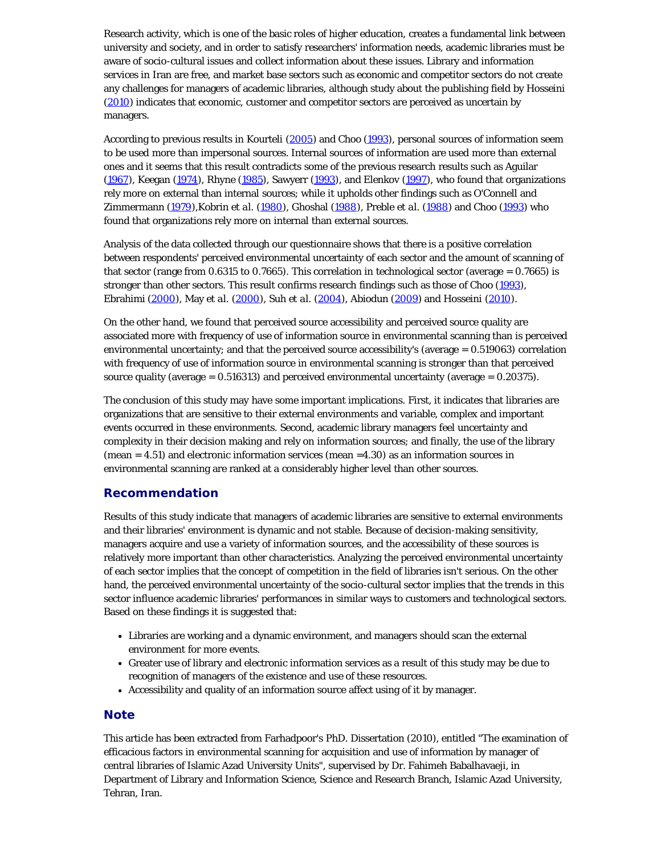Research activity, which is one of the basic roles of higher education, creates a fundamental link between university and society, and in order to satisfy researchers' information needs, academic libraries must be aware of socio-cultural issues and collect information about these issues. Library and information services in Iran are free, and market base sectors such as economic and competitor sectors do not create any challenges for managers of academic libraries, although study about the publishing field by Hosseini [\(2010](#page-11-1)) indicates that economic, customer and competitor sectors are perceived as uncertain by managers.

According to previous results in Kourteli [\(2005\)](#page-11-1) and Choo [\(1993](#page-11-1)), personal sources of information seem to be used more than impersonal sources. Internal sources of information are used more than external ones and it seems that this result contradicts some of the previous research results such as Aguilar  $(1967)$  $(1967)$ , Keegan  $(1974)$  $(1974)$  $(1974)$ , Rhyne  $(1985)$  $(1985)$  $(1985)$ , Sawyerr  $(1993)$  $(1993)$  $(1993)$ , and Elenkov  $(1997)$  $(1997)$  $(1997)$ , who found that organizations rely more on external than internal sources; while it upholds other findings such as O'Connell and Zimmermann ([1979](#page-11-1)),Kobrin *et al.* [\(1980\)](#page-11-1), Ghoshal ([1988\)](#page-11-1), Preble *et al.* ([1988\)](#page-11-1) and Choo ([1993](#page-11-1)) who found that organizations rely more on internal than external sources.

Analysis of the data collected through our questionnaire shows that there is a positive correlation between respondents' perceived environmental uncertainty of each sector and the amount of scanning of that sector (range from 0.6315 to 0.7665). This correlation in technological sector (average = 0.7665) is stronger than other sectors. This result confirms research findings such as those of Choo [\(1993](#page-11-1)), Ebrahimi [\(2000](#page-11-1)), May *et al.* [\(2000](#page-11-1)), Suh *et al.* [\(2004](#page-11-1)), Abiodun ([2009\)](#page-11-1) and Hosseini ([2010\)](#page-11-1).

On the other hand, we found that perceived source accessibility and perceived source quality are associated more with frequency of use of information source in environmental scanning than is perceived environmental uncertainty; and that the perceived source accessibility's (average = 0.519063) correlation with frequency of use of information source in environmental scanning is stronger than that perceived source quality (average  $= 0.516313$ ) and perceived environmental uncertainty (average  $= 0.20375$ ).

The conclusion of this study may have some important implications. First, it indicates that libraries are organizations that are sensitive to their external environments and variable, complex and important events occurred in these environments. Second, academic library managers feel uncertainty and complexity in their decision making and rely on information sources; and finally, the use of the library  $(mean = 4.51)$  and electronic information services  $(mean = 4.30)$  as an information sources in environmental scanning are ranked at a considerably higher level than other sources.

## **Recommendation**

Results of this study indicate that managers of academic libraries are sensitive to external environments and their libraries' environment is dynamic and not stable. Because of decision-making sensitivity, managers acquire and use a variety of information sources, and the accessibility of these sources is relatively more important than other characteristics. Analyzing the perceived environmental uncertainty of each sector implies that the concept of competition in the field of libraries isn't serious. On the other hand, the perceived environmental uncertainty of the socio-cultural sector implies that the trends in this sector influence academic libraries' performances in similar ways to customers and technological sectors. Based on these findings it is suggested that:

- Libraries are working and a dynamic environment, and managers should scan the external environment for more events.
- Greater use of library and electronic information services as a result of this study may be due to recognition of managers of the existence and use of these resources.
- Accessibility and quality of an information source affect using of it by manager.

## **Note**

This article has been extracted from Farhadpoor's PhD. Dissertation (2010), entitled "The examination of efficacious factors in environmental scanning for acquisition and use of information by manager of central libraries of Islamic Azad University Units", supervised by Dr. Fahimeh Babalhavaeji, in Department of Library and Information Science, Science and Research Branch, Islamic Azad University, Tehran, Iran.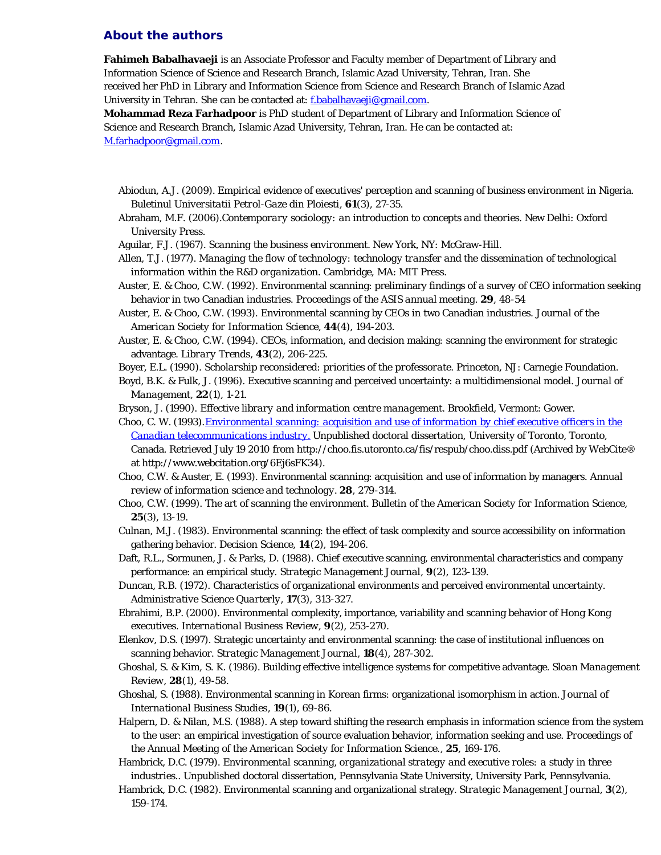## <span id="page-9-0"></span>**About the authors**

**Fahimeh Babalhavaeji** is an Associate Professor and Faculty member of Department of Library and Information Science of Science and Research Branch, Islamic Azad University, Tehran, Iran. She received her PhD in Library and Information Science from Science and Research Branch of Islamic Azad University in Tehran. She can be contacted at: [f.babalhavaeji@gmail.com.](mailto:f.babalhavaeji@gmail.com)

**Mohammad Reza Farhadpoor** is PhD student of Department of Library and Information Science of Science and Research Branch, Islamic Azad University, Tehran, Iran. He can be contacted at: [M.farhadpoor@gmail.com.](mailto:M.farhadpoor@gmail.com)

- Abiodun, A.J. (2009). Empirical evidence of executives' perception and scanning of business environment in Nigeria. *Buletinul Universitatii Petrol-Gaze din Ploiesti*, **61**(3), 27-35.
- Abraham, M.F. (2006).*Contemporary sociology: an introduction to concepts and theories.* New Delhi: Oxford University Press.
- Aguilar, F.J. (1967). *Scanning the business environment.* New York, NY: McGraw-Hill.
- Allen, T.J. (1977). *Managing the flow of technology: technology transfer and the dissemination of technological information within the R&D organization.* Cambridge, MA: MIT Press.
- Auster, E. & Choo, C.W. (1992). Environmental scanning: preliminary findings of a survey of CEO information seeking behavior in two Canadian industries. *Proceedings of the ASIS annual meeting.* **29**, 48-54
- Auster, E. & Choo, C.W. (1993). Environmental scanning by CEOs in two Canadian industries. *Journal of the American Society for Information Science*, **44**(4), 194-203.
- Auster, E. & Choo, C.W. (1994). CEOs, information, and decision making: scanning the environment for strategic advantage. *Library Trends*, **43**(2), 206-225.
- Boyer, E.L. (1990). *Scholarship reconsidered: priorities of the professorate.* Princeton, NJ: Carnegie Foundation.
- Boyd, B.K. & Fulk, J. (1996). Executive scanning and perceived uncertainty: a multidimensional model. *Journal of Management*, **22**(1), 1-21.

Bryson, J. (1990). *Effective library and information centre management.* Brookfield, Vermont: Gower.

- Choo, C. W. (1993).*[Environmental scanning: acquisition and use of information by chief executive officers in the](http://www.webcitation.org/6Ej6sFK34) [Canadian telecommunications industry.](http://www.webcitation.org/6Ej6sFK34)* Unpublished doctoral dissertation, University of Toronto, Toronto, Canada. Retrieved July 19 2010 from http://choo.fis.utoronto.ca/fis/respub/choo.diss.pdf (Archived by WebCite® at http://www.webcitation.org/6Ej6sFK34).
- Choo, C.W. & Auster, E. (1993). Environmental scanning: acquisition and use of information by managers. *Annual review of information science and technology.* **28**, 279-314.
- Choo, C.W. (1999). The art of scanning the environment. *Bulletin of the American Society for Information Science*, **25**(3), 13-19.
- Culnan, M.J. (1983). Environmental scanning: the effect of task complexity and source accessibility on information gathering behavior. *Decision Science*, **14**(2), 194-206.
- Daft, R.L., Sormunen, J. & Parks, D. (1988). Chief executive scanning, environmental characteristics and company performance: an empirical study. *Strategic Management Journal*, **9**(2), 123-139.
- Duncan, R.B. (1972). Characteristics of organizational environments and perceived environmental uncertainty. *Administrative Science Quarterly*, **17**(3), 313-327.
- Ebrahimi, B.P. (2000). Environmental complexity, importance, variability and scanning behavior of Hong Kong executives. *International Business Review*, **9**(2), 253-270.
- Elenkov, D.S. (1997). Strategic uncertainty and environmental scanning: the case of institutional influences on scanning behavior. *Strategic Management Journal*, **18**(4), 287-302.
- Ghoshal, S. & Kim, S. K. (1986). Building effective intelligence systems for competitive advantage. *Sloan Management Review*, **28**(1), 49-58.
- Ghoshal, S. (1988). Environmental scanning in Korean firms: organizational isomorphism in action. *Journal of International Business Studies*, **19**(1), 69-86.
- Halpern, D. & Nilan, M.S. (1988). A step toward shifting the research emphasis in information science from the system to the user: an empirical investigation of source evaluation behavior, information seeking and use. *Proceedings of the Annual Meeting of the American Society for Information Science.*, **25**, 169-176.

Hambrick, D.C. (1979). *Environmental scanning, organizational strategy and executive roles: a study in three industries.*. Unpublished doctoral dissertation, Pennsylvania State University, University Park, Pennsylvania.

Hambrick, D.C. (1982). Environmental scanning and organizational strategy. *Strategic Management Journal*, **3**(2), 159-174.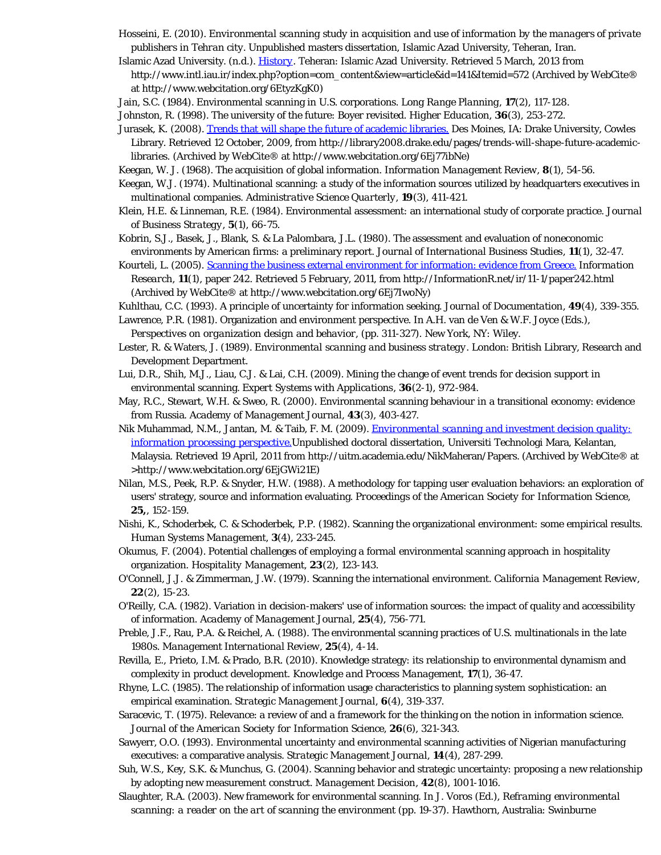- Hosseini, E. (2010). *Environmental scanning study in acquisition and use of information by the managers of private publishers in Tehran city.* Unpublished masters dissertation, Islamic Azad University, Teheran, Iran.
- Islamic Azad University. (n.d.). *[History](http://www.webcitation.org/6EtyzKgK0)*. Teheran: Islamic Azad University. Retrieved 5 March, 2013 from http://www.intl.iau.ir/index.php?option=com\_content&view=article&id=141&Itemid=572 (Archived by WebCite® at http://www.webcitation.org/6EtyzKgK0)
- Jain, S.C. (1984). Environmental scanning in U.S. corporations. *Long Range Planning*, **17**(2), 117-128.
- Johnston, R. (1998). The university of the future: Boyer revisited. *Higher Education*, **36**(3), 253-272.
- Jurasek, K. (2008). [Trends that will shape the future of academic libraries.](http://www.webcitation.org/6Ej77ibNe) Des Moines, IA: Drake University, Cowles Library. Retrieved 12 October, 2009, from http://library2008.drake.edu/pages/trends-will-shape-future-academiclibraries. (Archived by WebCite® at http://www.webcitation.org/6Ej77ibNe)
- Keegan, W. J. (1968). The acquisition of global information. *Information Management Review*, **8**(1), 54-56.
- Keegan, W.J. (1974). Multinational scanning: a study of the information sources utilized by headquarters executives in multinational companies. *Administrative Science Quarterly*, **19**(3), 411-421.
- Klein, H.E. & Linneman, R.E. (1984). Environmental assessment: an international study of corporate practice. *Journal of Business Strategy*, **5**(1), 66-75.
- Kobrin, S.J., Basek, J., Blank, S. & La Palombara, J.L. (1980). The assessment and evaluation of noneconomic environments by American firms: a preliminary report. *Journal of International Business Studies*, **11**(1), 32-47.
- Kourteli, L. (2005). [Scanning the business external environment for information: evidence from Greece.](http://www.webcitation.org/6Ej7IwoNy) *Information Research*, **11**(1), paper 242. Retrieved 5 February, 2011, from http://InformationR.net/ir/11-1/paper242.html (Archived by WebCite® at http://www.webcitation.org/6Ej7IwoNy)
- Kuhlthau, C.C. (1993). A principle of uncertainty for information seeking. *Journal of Documentation*, **49**(4), 339-355.
- Lawrence, P.R. (1981). Organization and environment perspective. In A.H. van de Ven & W.F. Joyce (Eds.), *Perspectives on organization design and behavior*, (pp. 311-327). New York, NY: Wiley.
- Lester, R. & Waters, J. (1989). *Environmental scanning and business strategy*. London: British Library, Research and Development Department.
- Lui, D.R., Shih, M.J., Liau, C.J. & Lai, C.H. (2009). Mining the change of event trends for decision support in environmental scanning. *Expert Systems with Applications*, **36**(2-1), 972-984.
- May, R.C., Stewart, W.H. & Sweo, R. (2000). Environmental scanning behaviour in a transitional economy: evidence from Russia. *Academy of Management Journal*, **43**(3), 403-427.
- Nik Muhammad, N.M., Jantan, M. & Taib, F. M. (2009). *[Environmental scanning and investment decision quality:](http://www.webcitation.org/6EjGWi21E) [information processing perspective.](http://www.webcitation.org/6EjGWi21E)*Unpublished doctoral dissertation, Universiti Technologi Mara, Kelantan, Malaysia. Retrieved 19 April, 2011 from http://uitm.academia.edu/NikMaheran/Papers. (Archived by WebCite® at >http://www.webcitation.org/6EjGWi21E)
- Nilan, M.S., Peek, R.P. & Snyder, H.W. (1988). A methodology for tapping user evaluation behaviors: an exploration of users' strategy, source and information evaluating. *Proceedings of the American Society for Information Science*, **25,**, 152-159.
- Nishi, K., Schoderbek, C. & Schoderbek, P.P. (1982). Scanning the organizational environment: some empirical results. *Human Systems Management*, **3**(4), 233-245.
- Okumus, F. (2004). Potential challenges of employing a formal environmental scanning approach in hospitality organization. *Hospitality Management*, **23**(2), 123-143.
- O'Connell, J.J. & Zimmerman, J.W. (1979). Scanning the international environment. *California Management Review*, **22**(2), 15-23.
- O'Reilly, C.A. (1982). Variation in decision-makers' use of information sources: the impact of quality and accessibility of information. *Academy of Management Journal*, **25**(4), 756-771.
- Preble, J.F., Rau, P.A. & Reichel, A. (1988). The environmental scanning practices of U.S. multinationals in the late 1980s. *Management International Review*, **25**(4), 4-14.
- Revilla, E., Prieto, I.M. & Prado, B.R. (2010). Knowledge strategy: its relationship to environmental dynamism and complexity in product development. *Knowledge and Process Management*, **17**(1), 36-47.
- Rhyne, L.C. (1985). The relationship of information usage characteristics to planning system sophistication: an empirical examination. *Strategic Management Journal*, **6**(4), 319-337.
- Saracevic, T. (1975). Relevance: a review of and a framework for the thinking on the notion in information science. *Journal of the American Society for Information Science*, **26**(6), 321-343.
- Sawyerr, O.O. (1993). Environmental uncertainty and environmental scanning activities of Nigerian manufacturing executives: a comparative analysis. *Strategic Management Journal*, **14**(4), 287-299.
- Suh, W.S., Key, S.K. & Munchus, G. (2004). Scanning behavior and strategic uncertainty: proposing a new relationship by adopting new measurement construct. *Management Decision*, **42**(8), 1001-1016.
- Slaughter, R.A. (2003). New framework for environmental scanning. In J. Voros (Ed.), *Reframing environmental scanning: a reader on the art of scanning the environment (pp. 19-37).* Hawthorn, Australia: Swinburne